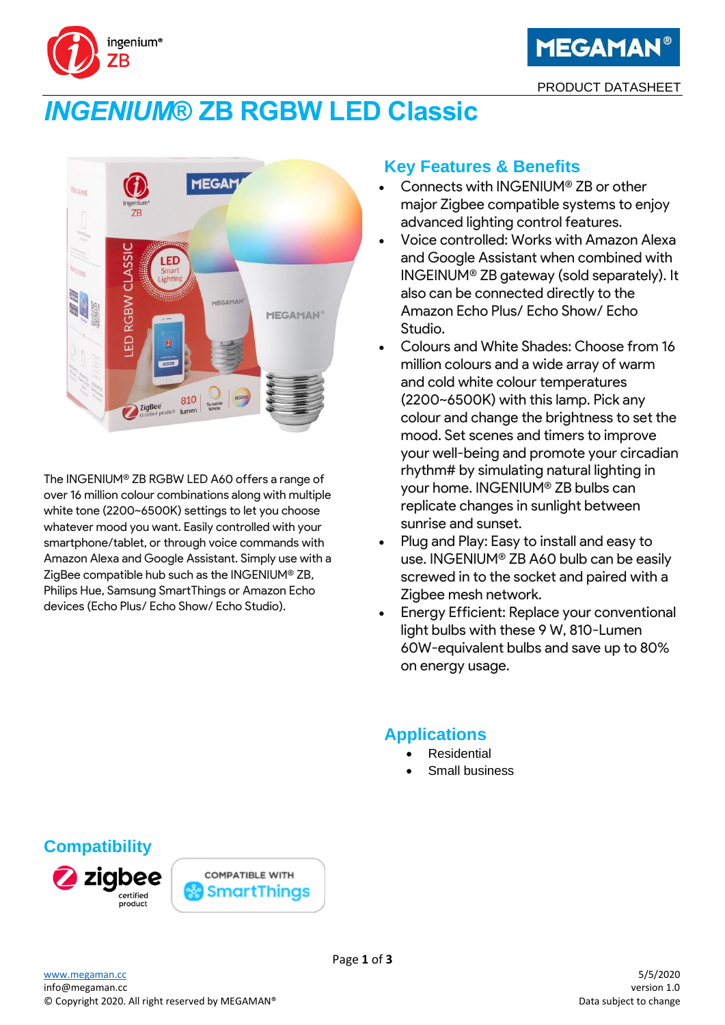



PRODUCT DATASHEET

# *INGENIUM***® ZB RGBW LED Classic**



The INGENIUM® ZB RGBW LED A60 offers a range of over 16 million colour combinations along with multiple white tone (2200~6500K) settings to let you choose whatever mood you want. Easily controlled with your smartphone/tablet, or through voice commands with Amazon Alexa and Google Assistant. Simply use with a ZigBee compatible hub such as the INGENIUM® ZB, Philips Hue, Samsung SmartThings or Amazon Echo devices (Echo Plus/ Echo Show/ Echo Studio).

### **Key Features & Benefits**

- Connects with INGENIUM® ZB or other major Zigbee compatible systems to enjoy advanced lighting control features.
- Voice controlled: Works with Amazon Alexa and Google Assistant when combined with INGEINUM® ZB gateway (sold separately). It also can be connected directly to the Amazon Echo Plus/ Echo Show/ Echo Studio.
- Colours and White Shades: Choose from 16 million colours and a wide array of warm and cold white colour temperatures (2200~6500K) with this lamp. Pick any colour and change the brightness to set the mood. Set scenes and timers to improve your well-being and promote your circadian rhythm# by simulating natural lighting in your home. INGENIUM® ZB bulbs can replicate changes in sunlight between sunrise and sunset.
- Plug and Play: Easy to install and easy to use. INGENIUM® ZB A60 bulb can be easily screwed in to the socket and paired with a Zigbee mesh network.
- Energy Efficient: Replace your conventional light bulbs with these 9 W, 810-Lumen 60W-equivalent bulbs and save up to 80% on energy usage.

# **Applications**

- **Residential**
- Small business

# **Compatibility**



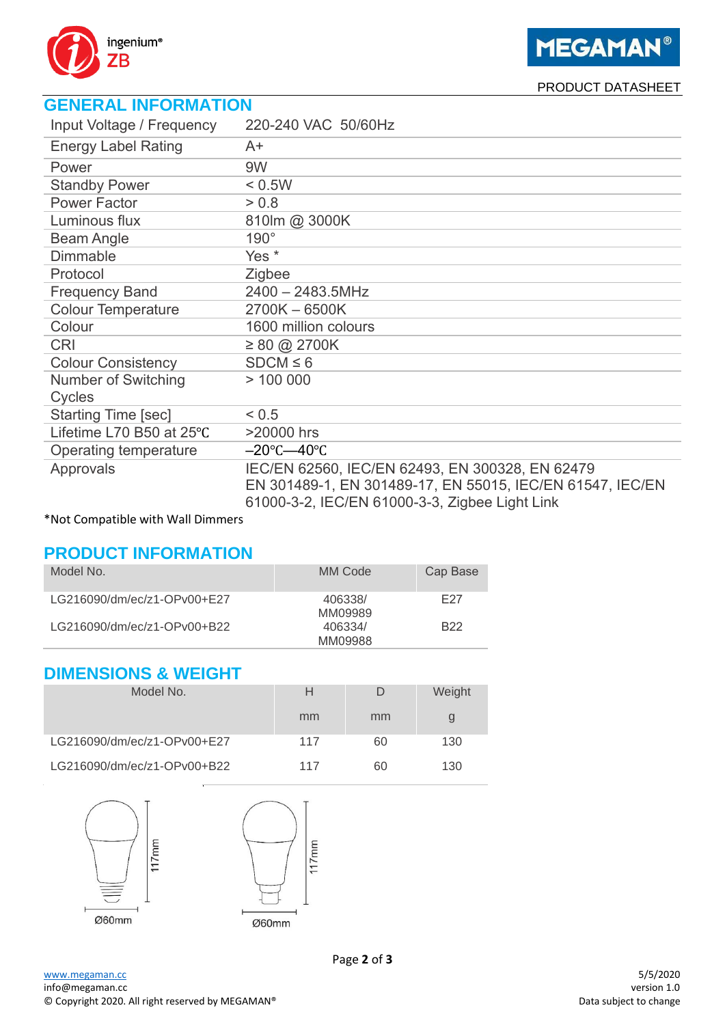

**MEGAMAN®** 

PRODUCT DATASHEET

# **GENERAL INFORMATION**

| Input Voltage / Frequency  | 220-240 VAC 50/60Hz                                       |
|----------------------------|-----------------------------------------------------------|
| <b>Energy Label Rating</b> | A+                                                        |
| Power                      | 9W                                                        |
| <b>Standby Power</b>       | < 0.5W                                                    |
| <b>Power Factor</b>        | > 0.8                                                     |
| Luminous flux              | 810lm @ 3000K                                             |
| <b>Beam Angle</b>          | $190^\circ$                                               |
| <b>Dimmable</b>            | Yes *                                                     |
| Protocol                   | Zigbee                                                    |
| <b>Frequency Band</b>      | 2400 - 2483.5MHz                                          |
| <b>Colour Temperature</b>  | 2700K-6500K                                               |
| Colour                     | 1600 million colours                                      |
| <b>CRI</b>                 | $\geq 80$ @ 2700K                                         |
| <b>Colour Consistency</b>  | $SDCM \leq 6$                                             |
| Number of Switching        | > 100000                                                  |
| Cycles                     |                                                           |
| <b>Starting Time [sec]</b> | < 0.5                                                     |
| Lifetime L70 B50 at 25°C   | >20000 hrs                                                |
| Operating temperature      | $-20^{\circ}$ C $-40^{\circ}$ C                           |
| Approvals                  | IEC/EN 62560, IEC/EN 62493, EN 300328, EN 62479           |
|                            | EN 301489-1, EN 301489-17, EN 55015, IEC/EN 61547, IEC/EN |
|                            | 61000-3-2, IEC/EN 61000-3-3, Zigbee Light Link            |

#### \*Not Compatible with Wall Dimmers

### **PRODUCT INFORMATION**

| Model No.                   | MM Code            | Cap Base        |
|-----------------------------|--------------------|-----------------|
| LG216090/dm/ec/z1-OPv00+E27 | 406338/<br>MM09989 | F27             |
| LG216090/dm/ec/z1-OPv00+B22 | 406334/<br>MM09988 | B <sub>22</sub> |

## **DIMENSIONS & WEIGHT**

| Model No.                   | Н   | D  | Weight |
|-----------------------------|-----|----|--------|
|                             | mm  | mm |        |
| LG216090/dm/ec/z1-OPv00+E27 | 117 | 60 | 130    |
| LG216090/dm/ec/z1-OPv00+B22 | 117 | 60 | 130    |